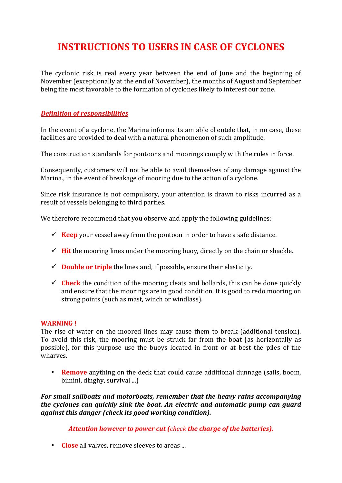## **INSTRUCTIONS TO USERS IN CASE OF CYCLONES**

The cyclonic risk is real every year between the end of June and the beginning of November (exceptionally at the end of November), the months of August and September being the most favorable to the formation of cyclones likely to interest our zone.

#### *Definition of responsibilities*

In the event of a cyclone, the Marina informs its amiable clientele that, in no case, these facilities are provided to deal with a natural phenomenon of such amplitude.

The construction standards for pontoons and moorings comply with the rules in force.

Consequently, customers will not be able to avail themselves of any damage against the Marina., in the event of breakage of mooring due to the action of a cyclone.

Since risk insurance is not compulsory, your attention is drawn to risks incurred as a result of vessels belonging to third parties.

We therefore recommend that you observe and apply the following guidelines:

- Keep your vessel away from the pontoon in order to have a safe distance.
- $\checkmark$  **Hit** the mooring lines under the mooring buoy, directly on the chain or shackle.
- $\checkmark$  **Double or triple** the lines and, if possible, ensure their elasticity.
- $\checkmark$  **Check** the condition of the mooring cleats and bollards, this can be done quickly and ensure that the moorings are in good condition. It is good to redo mooring on strong points (such as mast, winch or windlass).

#### **WARNING!**

The rise of water on the moored lines may cause them to break (additional tension). To avoid this risk, the mooring must be struck far from the boat (as horizontally as possible), for this purpose use the buoys located in front or at best the piles of the wharves.

• **Remove** anything on the deck that could cause additional dunnage (sails, boom, bimini, dinghy, survival ...)

*For small sailboats and motorboats, remember that the heavy rains accompanying the cyclones can quickly sink the boat. An electric and automatic pump can guard against this danger (check its good working condition).* 

Attention however to power cut (*check* the charge of the batteries).

• **Close** all valves, remove sleeves to areas ...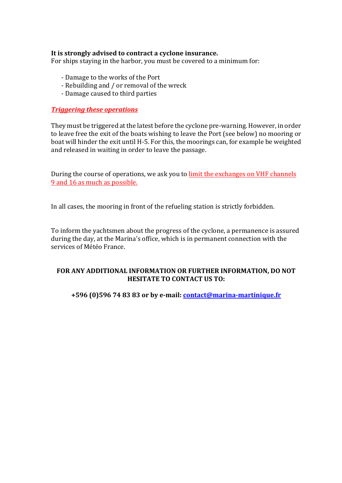#### It is strongly advised to contract a cyclone insurance.

For ships staying in the harbor, you must be covered to a minimum for:

- Damage to the works of the Port
- Rebuilding and / or removal of the wreck
- Damage caused to third parties

#### **Triggering these operations**

They must be triggered at the latest before the cyclone pre-warning. However, in order to leave free the exit of the boats wishing to leave the Port (see below) no mooring or boat will hinder the exit until H-5. For this, the moorings can, for example be weighted and released in waiting in order to leave the passage.

During the course of operations, we ask you to limit the exchanges on VHF channels 9 and 16 as much as possible.

In all cases, the mooring in front of the refueling station is strictly forbidden.

To inform the yachtsmen about the progress of the cyclone, a permanence is assured during the day, at the Marina's office, which is in permanent connection with the services of Météo France.

#### FOR ANY ADDITIONAL INFORMATION OR FURTHER INFORMATION, DO NOT **HESITATE TO CONTACT US TO:**

**+596 (0)596 74 83 83 or by e-mail: contact@marina-martinique.fr**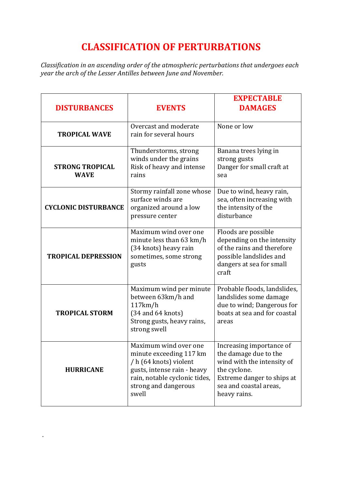## **CLASSIFICATION OF PERTURBATIONS**

Classification in an ascending order of the atmospheric perturbations that undergoes each *year the arch of the Lesser Antilles between June and November.*

| <b>DISTURBANCES</b>                   | <b>EVENTS</b>                                                                                                                                                               | <b>EXPECTABLE</b><br><b>DAMAGES</b>                                                                                                                                     |
|---------------------------------------|-----------------------------------------------------------------------------------------------------------------------------------------------------------------------------|-------------------------------------------------------------------------------------------------------------------------------------------------------------------------|
| <b>TROPICAL WAVE</b>                  | Overcast and moderate<br>rain for several hours                                                                                                                             | None or low                                                                                                                                                             |
| <b>STRONG TROPICAL</b><br><b>WAVE</b> | Thunderstorms, strong<br>winds under the grains<br>Risk of heavy and intense<br>rains                                                                                       | Banana trees lying in<br>strong gusts<br>Danger for small craft at<br>sea                                                                                               |
| <b>CYCLONIC DISTURBANCE</b>           | Stormy rainfall zone whose<br>surface winds are<br>organized around a low<br>pressure center                                                                                | Due to wind, heavy rain,<br>sea, often increasing with<br>the intensity of the<br>disturbance                                                                           |
| <b>TROPICAL DEPRESSION</b>            | Maximum wind over one<br>minute less than 63 km/h<br>(34 knots) heavy rain<br>sometimes, some strong<br>gusts                                                               | Floods are possible<br>depending on the intensity<br>of the rains and therefore<br>possible landslides and<br>dangers at sea for small<br>craft                         |
| <b>TROPICAL STORM</b>                 | Maximum wind per minute<br>between 63km/h and<br>117km/h<br>$(34$ and $64$ knots)<br>Strong gusts, heavy rains,<br>strong swell                                             | Probable floods, landslides,<br>landslides some damage<br>due to wind; Dangerous for<br>boats at sea and for coastal<br>areas                                           |
| <b>HURRICANE</b>                      | Maximum wind over one<br>minute exceeding 117 km<br>/ h (64 knots) violent<br>gusts, intense rain - heavy<br>rain, notable cyclonic tides,<br>strong and dangerous<br>swell | Increasing importance of<br>the damage due to the<br>wind with the intensity of<br>the cyclone.<br>Extreme danger to ships at<br>sea and coastal areas,<br>heavy rains. |

.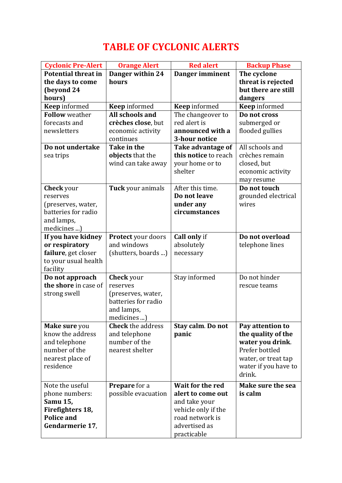# **TABLE OF CYCLONIC ALERTS**

| <b>Cyclonic Pre-Alert</b>  | <b>Orange Alert</b>       | <b>Red alert</b>     | <b>Backup Phase</b>  |
|----------------------------|---------------------------|----------------------|----------------------|
| <b>Potential threat in</b> | Danger within 24          | Danger imminent      | The cyclone          |
| the days to come           | hours                     |                      | threat is rejected   |
| (beyond 24                 |                           |                      | but there are still  |
| hours)                     |                           |                      | dangers              |
| <b>Keep</b> informed       | <b>Keep</b> informed      | <b>Keep</b> informed | <b>Keep</b> informed |
| <b>Follow</b> weather      | All schools and           | The changeover to    | Do not cross         |
| forecasts and              | crèches close, but        | red alert is         | submerged or         |
| newsletters                | economic activity         | announced with a     | flooded gullies      |
|                            | continues                 | 3-hour notice        |                      |
| Do not undertake           | Take in the               | Take advantage of    | All schools and      |
| sea trips                  | objects that the          | this notice to reach | crèches remain       |
|                            | wind can take away        | your home or to      | closed, but          |
|                            |                           | shelter              | economic activity    |
|                            |                           |                      | may resume           |
| <b>Check</b> your          | Tuck your animals         | After this time.     | Do not touch         |
| reserves                   |                           | Do not leave         | grounded electrical  |
| (preserves, water,         |                           | under any            | wires                |
| batteries for radio        |                           | circumstances        |                      |
| and lamps,                 |                           |                      |                      |
| medicines )                |                           |                      |                      |
| If you have kidney         | <b>Protect</b> your doors | Call only if         | Do not overload      |
| or respiratory             | and windows               | absolutely           | telephone lines      |
| failure, get closer        | (shutters, boards )       | necessary            |                      |
| to your usual health       |                           |                      |                      |
| facility                   |                           |                      |                      |
| Do not approach            | <b>Check</b> your         | Stay informed        | Do not hinder        |
| the shore in case of       | reserves                  |                      | rescue teams         |
| strong swell               | (preserves, water,        |                      |                      |
|                            | batteries for radio       |                      |                      |
|                            | and lamps,                |                      |                      |
|                            | medicines )               |                      |                      |
| Make sure you              | <b>Check</b> the address  | Stay calm. Do not    | Pay attention to     |
| know the address           | and telephone             | panic                | the quality of the   |
| and telephone              | number of the             |                      | water you drink.     |
| number of the              | nearest shelter           |                      | Prefer bottled       |
| nearest place of           |                           |                      | water, or treat tap  |
| residence                  |                           |                      | water if you have to |
|                            |                           |                      | drink.               |
|                            |                           |                      |                      |
| Note the useful            | Prepare for a             | Wait for the red     | Make sure the sea    |
| phone numbers:             | possible evacuation       | alert to come out    | is calm              |
| Samu 15,                   |                           | and take your        |                      |
| Firefighters 18,           |                           | vehicle only if the  |                      |
| <b>Police and</b>          |                           | road network is      |                      |
| Gendarmerie 17,            |                           | advertised as        |                      |
|                            |                           | practicable          |                      |